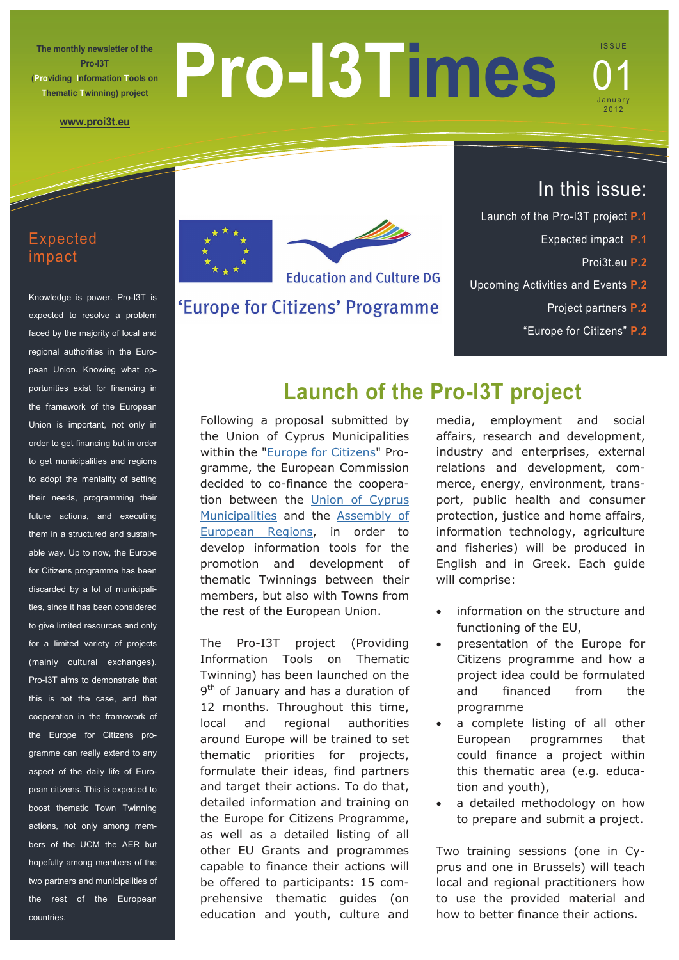**The monthly newsletter of the Pro-I3T (Providing Information Tools on Thematic Twinning) project** 

# **Pro-I3Times**

ISSUE 01

January 2012

**[www.proi3t.eu](http://www.proi3t.eu)**

# Expected impact

Knowledge is power. Pro-I3T is expected to resolve a problem faced by the majority of local and regional authorities in the European Union. Knowing what opportunities exist for financing in the framework of the European Union is important, not only in order to get financing but in order to get municipalities and regions to adopt the mentality of setting their needs, programming their future actions, and executing them in a structured and sustainable way. Up to now, the Europe for Citizens programme has been discarded by a lot of municipalities, since it has been considered to give limited resources and only for a limited variety of projects (mainly cultural exchanges). Pro-I3T aims to demonstrate that this is not the case, and that cooperation in the framework of the Europe for Citizens programme can really extend to any aspect of the daily life of European citizens. This is expected to boost thematic Town Twinning actions, not only among members of the UCM the AER but hopefully among members of the two partners and municipalities of the rest of the European countries.



'Europe for Citizens' Programme

# In this issue:

- Launch of the Pro-I3T project **P.1**
	- Expected impact **P.1**
		- Proi3t.eu **P.2**
- Upcoming Activities and Events **P.2** 
	- Project partners **P.2**
	- "Europe for Citizens" **P.2**

# **Launch of the Pro-I3T project**

Following a proposal submitted by the Union of Cyprus Municipalities within the ["Europe for Citizens](http://eacea.ec.europa.eu/citizenship/programme/about_citizenship_en.php)" Programme, the European Commission decided to co-finance the cooperation between the Union of Cyprus [Municipalities](http://www.ucm.org.cy/Index.aspx?Language=ENG) and the [Assembly of](http://www.aer.eu)  [European Regions](http://www.aer.eu), in order to develop information tools for the promotion and development of thematic Twinnings between their members, but also with Towns from the rest of the European Union.

The Pro-I3T project (Providing Information Tools on Thematic Twinning) has been launched on the 9<sup>th</sup> of January and has a duration of 12 months. Throughout this time, local and regional authorities around Europe will be trained to set thematic priorities for projects, formulate their ideas, find partners and target their actions. To do that, detailed information and training on the Europe for Citizens Programme, as well as a detailed listing of all other EU Grants and programmes capable to finance their actions will be offered to participants: 15 comprehensive thematic guides (on education and youth, culture and media, employment and social affairs, research and development, industry and enterprises, external relations and development, commerce, energy, environment, transport, public health and consumer protection, justice and home affairs, information technology, agriculture and fisheries) will be produced in English and in Greek. Each guide

 information on the structure and functioning of the EU,

will comprise:

- presentation of the Europe for Citizens programme and how a project idea could be formulated and financed from the programme
- a complete listing of all other European programmes that could finance a project within this thematic area (e.g. education and youth),
- a detailed methodology on how to prepare and submit a project.

Two training sessions (one in Cyprus and one in Brussels) will teach local and regional practitioners how to use the provided material and how to better finance their actions.